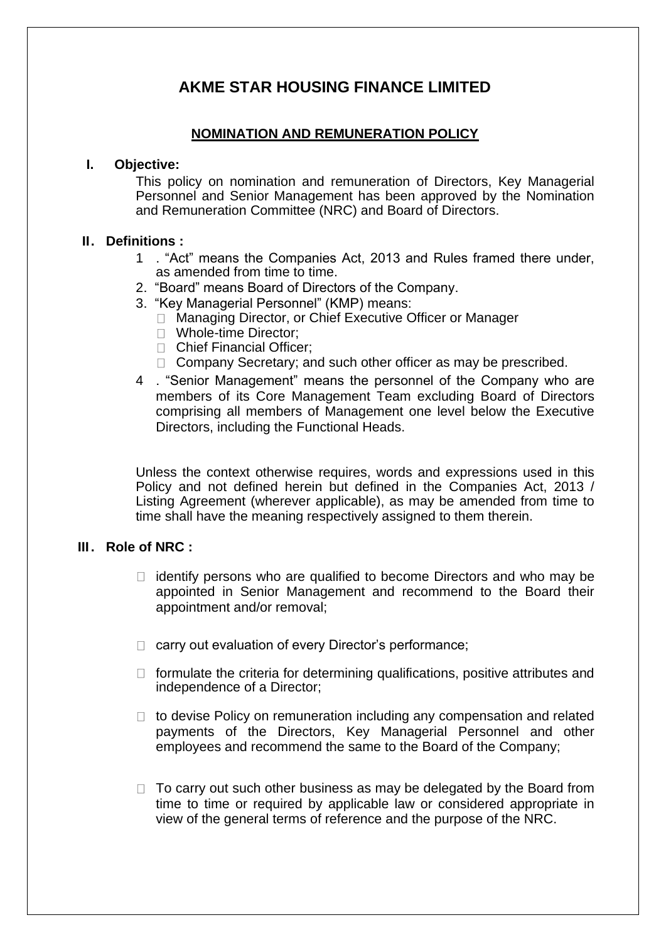# **AKME STAR HOUSING FINANCE LIMITED**

# **NOMINATION AND REMUNERATION POLICY**

#### **I. Objective:**

This policy on nomination and remuneration of Directors, Key Managerial Personnel and Senior Management has been approved by the Nomination and Remuneration Committee (NRC) and Board of Directors.

# **II. Definitions :**

- 1 . "Act" means the Companies Act, 2013 and Rules framed there under, as amended from time to time.
- 2. "Board" means Board of Directors of the Company.
- 3. "Key Managerial Personnel" (KMP) means:
	- □ Managing Director, or Chief Executive Officer or Manager
	- □ Whole-time Director:
	- □ Chief Financial Officer:
	- $\Box$  Company Secretary; and such other officer as may be prescribed.
- 4 . "Senior Management" means the personnel of the Company who are members of its Core Management Team excluding Board of Directors comprising all members of Management one level below the Executive Directors, including the Functional Heads.

Unless the context otherwise requires, words and expressions used in this Policy and not defined herein but defined in the Companies Act, 2013 / Listing Agreement (wherever applicable), as may be amended from time to time shall have the meaning respectively assigned to them therein.

# **III . Role of NRC :**

- $\Box$  identify persons who are qualified to become Directors and who may be appointed in Senior Management and recommend to the Board their appointment and/or removal;
- □ carry out evaluation of every Director's performance;
- $\Box$  formulate the criteria for determining qualifications, positive attributes and independence of a Director;
- $\Box$  to devise Policy on remuneration including any compensation and related payments of the Directors, Key Managerial Personnel and other employees and recommend the same to the Board of the Company;
- $\Box$  To carry out such other business as may be delegated by the Board from time to time or required by applicable law or considered appropriate in view of the general terms of reference and the purpose of the NRC.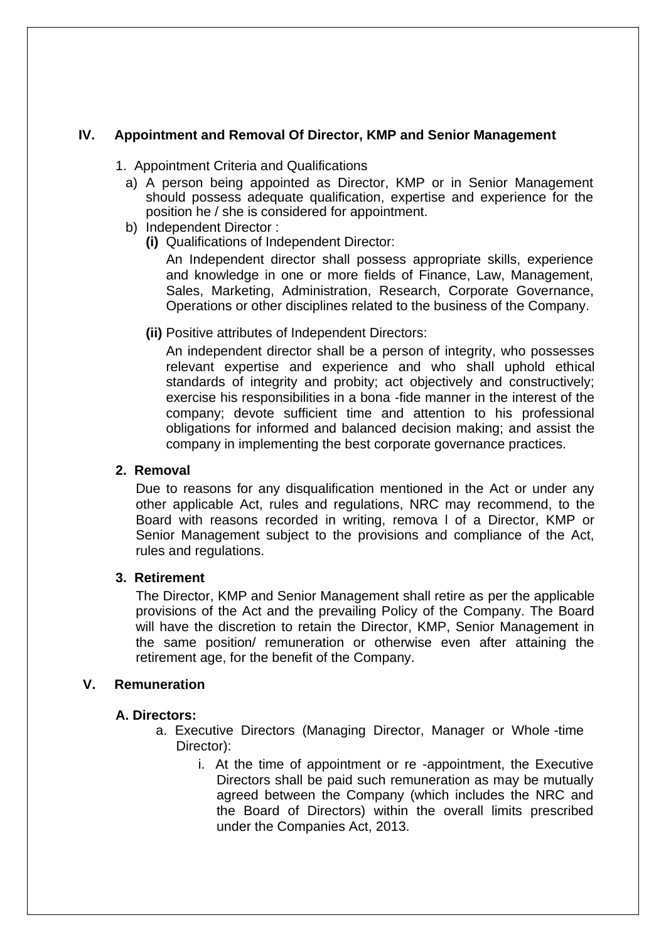# **IV. Appointment and Removal Of Director, KMP and Senior Management**

- 1. Appointment Criteria and Qualifications
	- a) A person being appointed as Director, KMP or in Senior Management should possess adequate qualification, expertise and experience for the position he / she is considered for appointment.
	- b) Independent Director :
		- **(i)** Qualifications of Independent Director:

An Independent director shall possess appropriate skills, experience and knowledge in one or more fields of Finance, Law, Management, Sales, Marketing, Administration, Research, Corporate Governance, Operations or other disciplines related to the business of the Company.

**(ii)** Positive attributes of Independent Directors:

An independent director shall be a person of integrity, who possesses relevant expertise and experience and who shall uphold ethical standards of integrity and probity; act objectively and constructively; exercise his responsibilities in a bona -fide manner in the interest of the company; devote sufficient time and attention to his professional obligations for informed and balanced decision making; and assist the company in implementing the best corporate governance practices.

### **2. Removal**

Due to reasons for any disqualification mentioned in the Act or under any other applicable Act, rules and regulations, NRC may recommend, to the Board with reasons recorded in writing, remova l of a Director, KMP or Senior Management subject to the provisions and compliance of the Act, rules and regulations.

# **3. Retirement**

The Director, KMP and Senior Management shall retire as per the applicable provisions of the Act and the prevailing Policy of the Company. The Board will have the discretion to retain the Director, KMP, Senior Management in the same position/ remuneration or otherwise even after attaining the retirement age, for the benefit of the Company.

# **V. Remuneration**

# **A. Directors:**

- a. Executive Directors (Managing Director, Manager or Whole -time Director):
	- i. At the time of appointment or re -appointment, the Executive Directors shall be paid such remuneration as may be mutually agreed between the Company (which includes the NRC and the Board of Directors) within the overall limits prescribed under the Companies Act, 2013.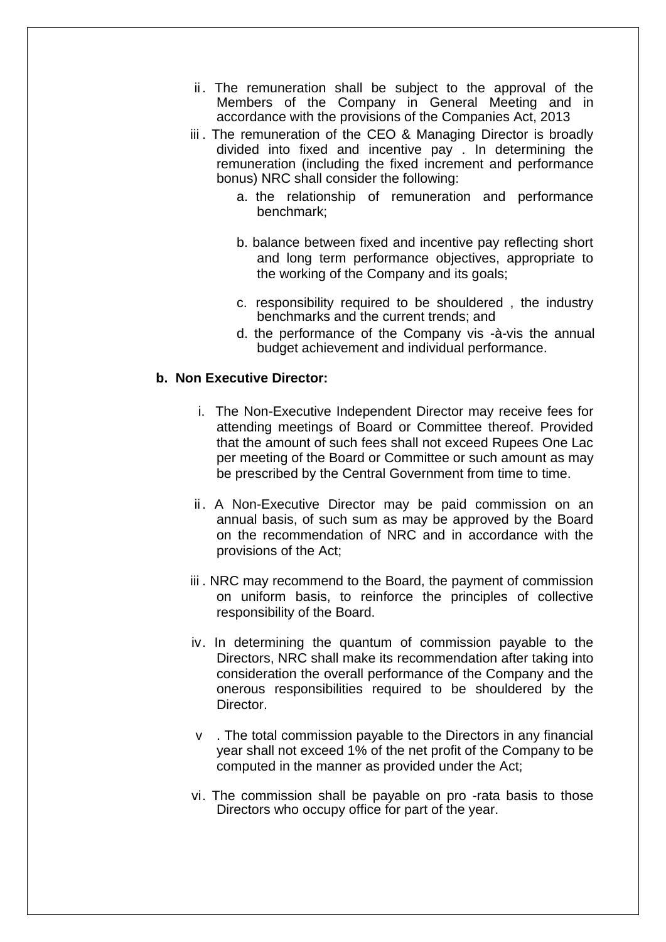- ii. The remuneration shall be subject to the approval of the Members of the Company in General Meeting and in accordance with the provisions of the Companies Act, 2013
- iii. The remuneration of the CEO & Managing Director is broadly divided into fixed and incentive pay . In determining the remuneration (including the fixed increment and performance bonus) NRC shall consider the following:
	- a. the relationship of remuneration and performance benchmark;
	- b. balance between fixed and incentive pay reflecting short and long term performance objectives, appropriate to the working of the Company and its goals;
	- c. responsibility required to be shouldered , the industry benchmarks and the current trends; and
	- d. the performance of the Company vis -à-vis the annual budget achievement and individual performance.

# **b. Non Executive Director:**

- i. The Non-Executive Independent Director may receive fees for attending meetings of Board or Committee thereof. Provided that the amount of such fees shall not exceed Rupees One Lac per meeting of the Board or Committee or such amount as may be prescribed by the Central Government from time to time.
- ii. A Non-Executive Director may be paid commission on an annual basis, of such sum as may be approved by the Board on the recommendation of NRC and in accordance with the provisions of the Act;
- iii . NRC may recommend to the Board, the payment of commission on uniform basis, to reinforce the principles of collective responsibility of the Board.
- iv. In determining the quantum of commission payable to the Directors, NRC shall make its recommendation after taking into consideration the overall performance of the Company and the onerous responsibilities required to be shouldered by the Director.
- v . The total commission payable to the Directors in any financial year shall not exceed 1% of the net profit of the Company to be computed in the manner as provided under the Act;
- vi. The commission shall be payable on pro -rata basis to those Directors who occupy office for part of the year.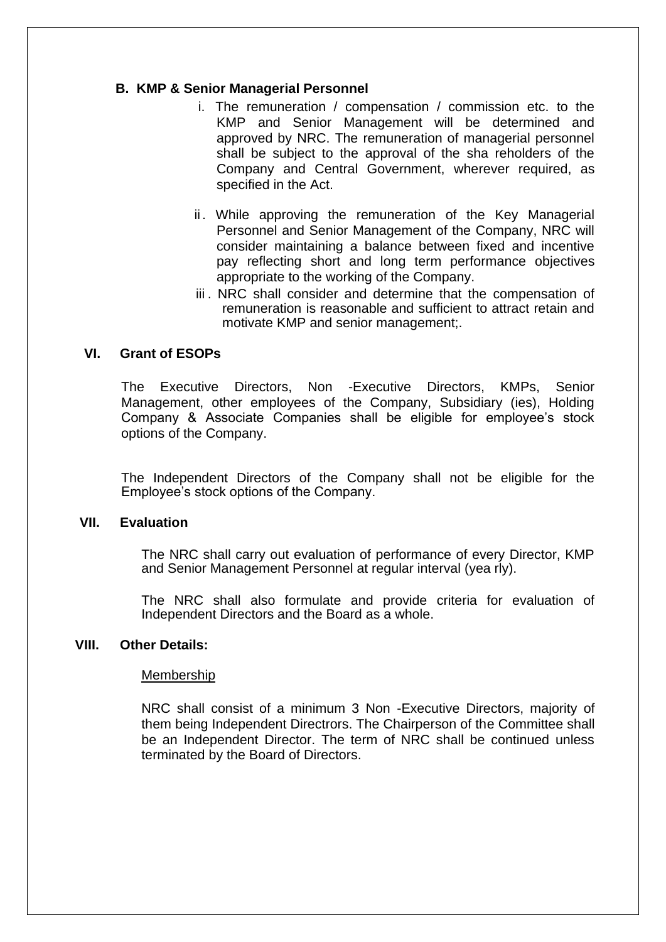#### **B. KMP & Senior Managerial Personnel**

- i. The remuneration / compensation / commission etc. to the KMP and Senior Management will be determined and approved by NRC. The remuneration of managerial personnel shall be subject to the approval of the sha reholders of the Company and Central Government, wherever required, as specified in the Act.
- ii. While approving the remuneration of the Key Managerial Personnel and Senior Management of the Company, NRC will consider maintaining a balance between fixed and incentive pay reflecting short and long term performance objectives appropriate to the working of the Company.
- iii. NRC shall consider and determine that the compensation of remuneration is reasonable and sufficient to attract retain and motivate KMP and senior management;.

#### **VI. Grant of ESOPs**

The Executive Directors, Non -Executive Directors, KMPs, Senior Management, other employees of the Company, Subsidiary (ies), Holding Company & Associate Companies shall be eligible for employee's stock options of the Company.

The Independent Directors of the Company shall not be eligible for the Employee's stock options of the Company.

#### **VII. Evaluation**

The NRC shall carry out evaluation of performance of every Director, KMP and Senior Management Personnel at regular interval (yea rly).

The NRC shall also formulate and provide criteria for evaluation of Independent Directors and the Board as a whole.

#### **VIII. Other Details:**

#### Membership

NRC shall consist of a minimum 3 Non -Executive Directors, majority of them being Independent Directrors. The Chairperson of the Committee shall be an Independent Director. The term of NRC shall be continued unless terminated by the Board of Directors.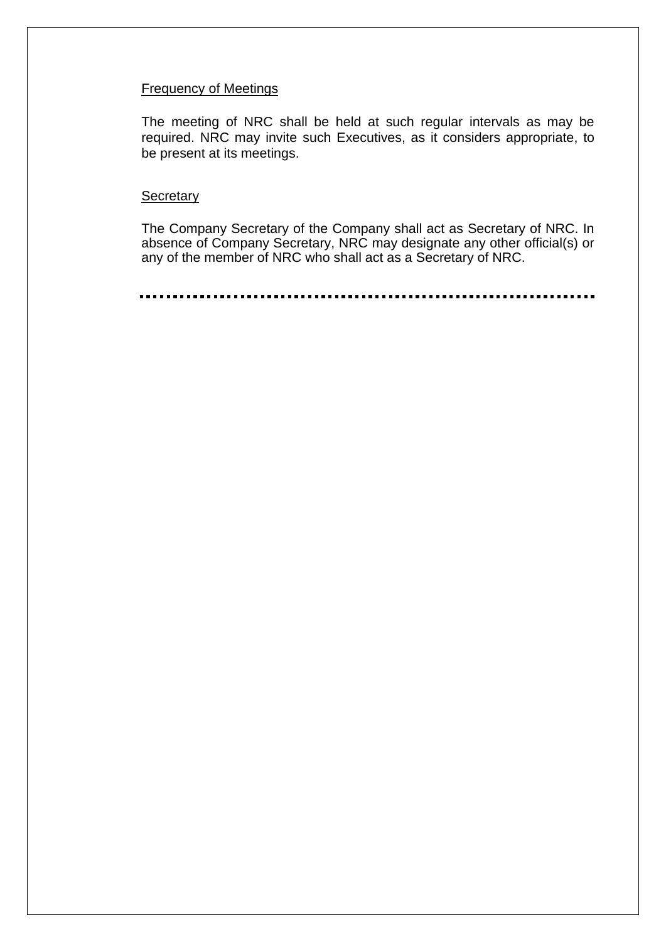#### Frequency of Meetings

The meeting of NRC shall be held at such regular intervals as may be required. NRC may invite such Executives, as it considers appropriate, to be present at its meetings.

#### **Secretary**

The Company Secretary of the Company shall act as Secretary of NRC. In absence of Company Secretary, NRC may designate any other official(s) or any of the member of NRC who shall act as a Secretary of NRC.